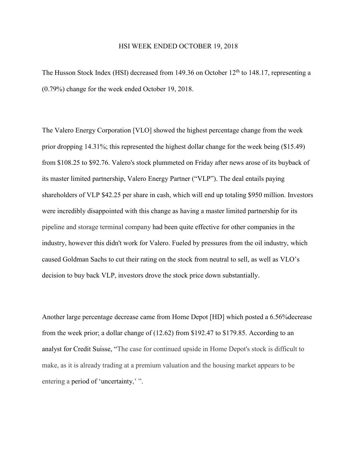## HSI WEEK ENDED OCTOBER 19, 2018

The Husson Stock Index (HSI) decreased from 149.36 on October  $12<sup>th</sup>$  to 148.17, representing a (0.79%) change for the week ended October 19, 2018.

The Valero Energy Corporation [VLO] showed the highest percentage change from the week prior dropping 14.31%; this represented the highest dollar change for the week being (\$15.49) from \$108.25 to \$92.76. Valero's stock plummeted on Friday after news arose of its buyback of its master limited partnership, Valero Energy Partner ("VLP"). The deal entails paying shareholders of VLP \$42.25 per share in cash, which will end up totaling \$950 million. Investors were incredibly disappointed with this change as having a master limited partnership for its pipeline and storage terminal company had been quite effective for other companies in the industry, however this didn't work for Valero. Fueled by pressures from the oil industry, which caused Goldman Sachs to cut their rating on the stock from neutral to sell, as well as VLO's decision to buy back VLP, investors drove the stock price down substantially.

Another large percentage decrease came from Home Depot [HD] which posted a 6.56%decrease from the week prior; a dollar change of (12.62) from \$192.47 to \$179.85. According to an analyst for Credit Suisse, "The case for continued upside in Home Depot's stock is difficult to make, as it is already trading at a premium valuation and the housing market appears to be entering a period of 'uncertainty,' ".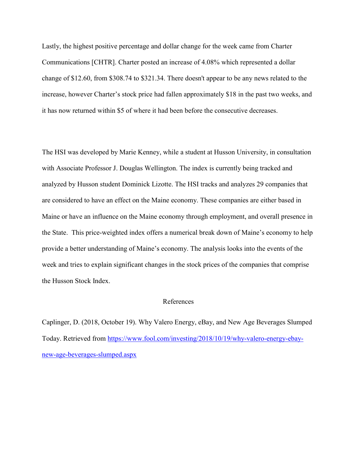Lastly, the highest positive percentage and dollar change for the week came from Charter Communications [CHTR]. Charter posted an increase of 4.08% which represented a dollar change of \$12.60, from \$308.74 to \$321.34. There doesn't appear to be any news related to the increase, however Charter's stock price had fallen approximately \$18 in the past two weeks, and it has now returned within \$5 of where it had been before the consecutive decreases.

The HSI was developed by Marie Kenney, while a student at Husson University, in consultation with Associate Professor J. Douglas Wellington. The index is currently being tracked and analyzed by Husson student Dominick Lizotte. The HSI tracks and analyzes 29 companies that are considered to have an effect on the Maine economy. These companies are either based in Maine or have an influence on the Maine economy through employment, and overall presence in the State. This price-weighted index offers a numerical break down of Maine's economy to help provide a better understanding of Maine's economy. The analysis looks into the events of the week and tries to explain significant changes in the stock prices of the companies that comprise the Husson Stock Index.

## References

Caplinger, D. (2018, October 19). Why Valero Energy, eBay, and New Age Beverages Slumped Today. Retrieved from [https://www.fool.com/investing/2018/10/19/why-valero-energy-ebay](https://www.fool.com/investing/2018/10/19/why-valero-energy-ebay-new-age-beverages-slumped.aspx)[new-age-beverages-slumped.aspx](https://www.fool.com/investing/2018/10/19/why-valero-energy-ebay-new-age-beverages-slumped.aspx)